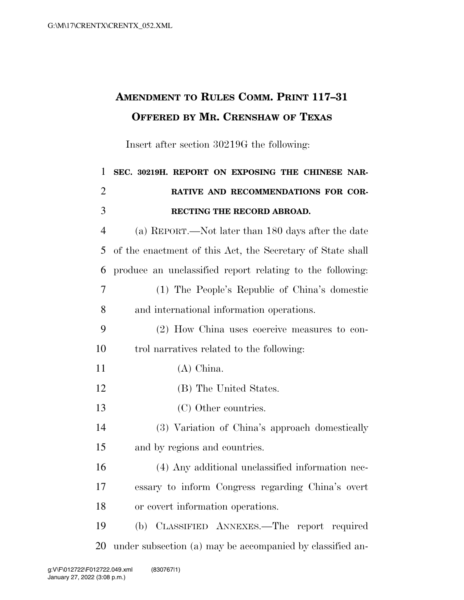## **AMENDMENT TO RULES COMM. PRINT 117–31 OFFERED BY MR. CRENSHAW OF TEXAS**

Insert after section 30219G the following:

| $\mathbf{1}$   | SEC. 30219H. REPORT ON EXPOSING THE CHINESE NAR-           |
|----------------|------------------------------------------------------------|
| $\overline{2}$ | RATIVE AND RECOMMENDATIONS FOR COR-                        |
| 3              | RECTING THE RECORD ABROAD.                                 |
| $\overline{4}$ | (a) REPORT.—Not later than 180 days after the date         |
| 5              | of the enactment of this Act, the Secretary of State shall |
| 6              | produce an unclassified report relating to the following:  |
| 7              | (1) The People's Republic of China's domestic              |
| 8              | and international information operations.                  |
| 9              | (2) How China uses coercive measures to con-               |
| 10             | trol narratives related to the following:                  |
| 11             | $(A)$ China.                                               |
| 12             | (B) The United States.                                     |
| 13             | (C) Other countries.                                       |
| 14             | (3) Variation of China's approach domestically             |
| 15             | and by regions and countries.                              |
| 16             | (4) Any additional unclassified information nec-           |
| 17             | essary to inform Congress regarding China's overt          |
| 18             | or covert information operations.                          |
| 19             | (b) CLASSIFIED ANNEXES.—The report required                |
| 20             | under subsection (a) may be accompanied by classified an-  |